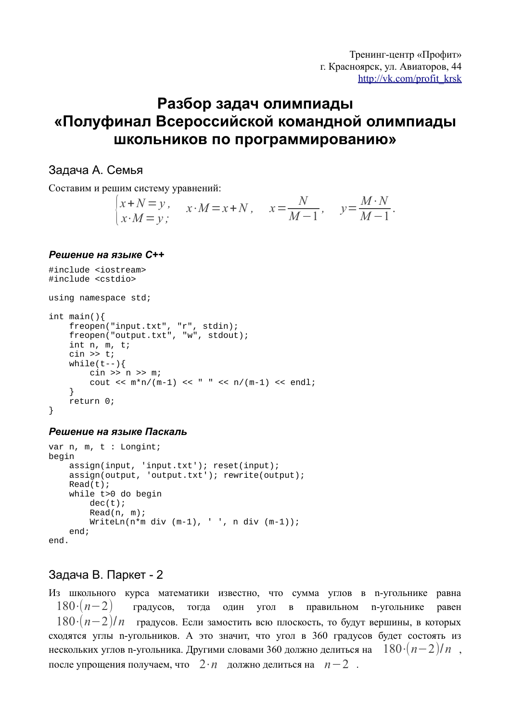# Разбор задач олимпиады «Полуфинал Всероссийской командной олимпиады школьников по программированию»

## Задача А. Семья

Составим и решим систему уравнений:

$$
\begin{cases} x+N=y, & x \cdot M=x+N, & x=\frac{N}{M-1}, & y=\frac{M\cdot N}{M-1}. \end{cases}
$$

## Решение на языке С++

```
#include <iostream>
#include <cstdio>
using namespace std;
int main()freopen("input.txt", "r", stdin);<br>freopen("output.txt", "w", stdout);
    int n, m, t;
    \sin \gg t;
     while (t--) {
         \sin \gg n \gg micout << m*n/(m-1) << " " << n/(m-1) << endl;
     \left\{ \right.return 0;
\}
```
## Решение на языке Паскаль

```
var n, m, t : Longint;
begin
    assign(int, 'input.txt'); reset(input);<br>assign(output, 'output.txt'); rewrite(output);Read(t);while t>0 do begin
         dec(t);
         Read(n, m);WriteLn(n*m div (m-1), ' ', n div (m-1));
    end;end.
```
## Задача В. Паркет - 2

Из школьного курса математики известно, что сумма углов в n-угольнике равна  $180 \cdot (n-2)$ градусов, тогда один угол в правильном п-угольнике равен  $180 \cdot (n-2)/n$  градусов. Если замостить всю плоскость, то будут вершины, в которых сходятся углы n-угольников. А это значит, что угол в 360 градусов будет состоять из нескольких углов n-угольника. Другими словами 360 должно делиться на  $180 \cdot (n-2)/n$ , после упрощения получаем, что  $2 \cdot n$  должно делиться на  $n-2$ .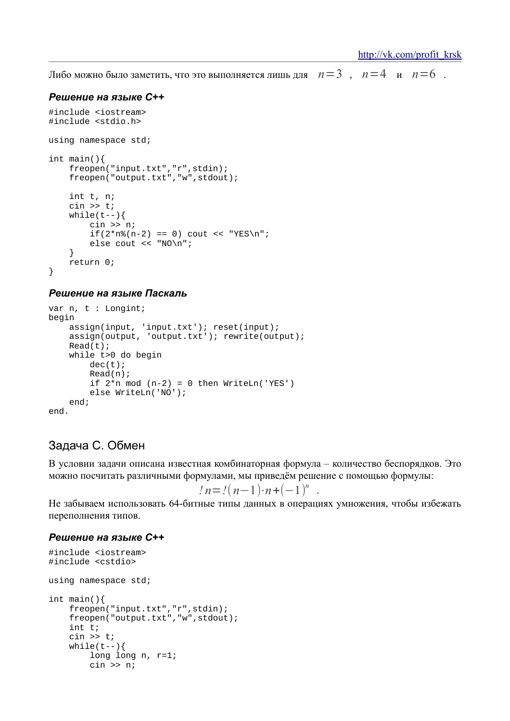Либо можно было заметить, что это выполняется лишь для  $n=3$ ,  $n=4$  и  $n=6$ .

#### Решение на языке С++

```
#include <iostream>
#include <stdio.h>
using namespace std;
int main()freopen("input.txt","r",stdin);
    freopen("output.txt","w",stdout);
    int t, n;
    \sin \gg twhile (t--) {
        cin \gg niif(2*n%(n-2) == 0) cout << "YES\n";
        else cout << "NO\n";
    \}return 0;
\}
```
## Решение на языке Паскаль

```
var n, t : Longint;
begin
       \begin{tabular}{ll} \texttt{assign}(\texttt{input}, \texttt{input.txt}'); \texttt{reset}(\texttt{input}); \\ \texttt{assign}(\texttt{output}, \texttt{output.txt}'); \texttt{rewrite}(\texttt{output}); \end{tabular}Read(t);while t>0 do begin
               dec(t);Read(n);if 2*n \mod (n-2) = 0 then WriteLn('YES')else WriteLn('NO');
       end:end.
```
## Задача С. Обмен

В условии задачи описана известная комбинаторная формула - количество беспорядков. Это можно посчитать различными формулами, мы приведём решение с помощью формулы:

$$
ln = !(n-1) \cdot n + (-1)^n
$$

Не забываем использовать 64-битные типы данных в операциях умножения, чтобы избежать переполнения типов.

```
#include <iostream>
#include <cstdio>
using namespace std;
int main()freopen("input.txt","r",stdin);
    freopen("output.txt","w",stdout);
    int t;
    \sin \gg t;
    while(t--){
        long long n, r=1;
        cin \gg ni
```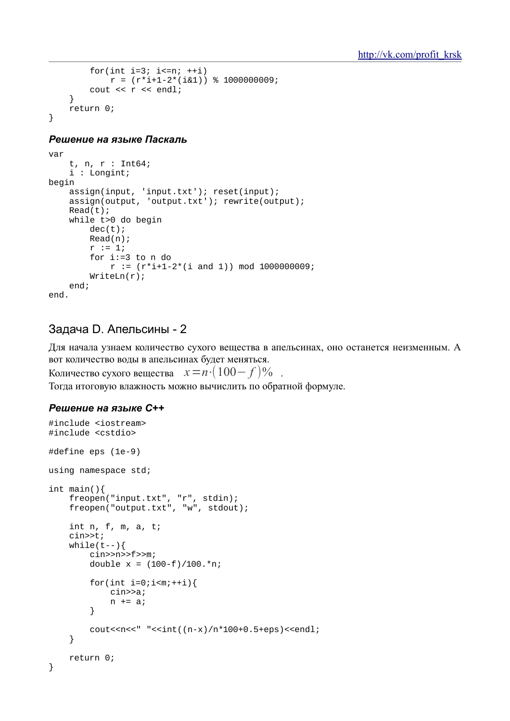```
for(int i=3; i<=n; +i)r = (r * i + 1 - 2 * (i \& 1)) % 1000000009;
          \text{cut} << \text{r} << \text{endl};
     \}return 0;
\}
```

```
yar
     t, n, r : Int64;
     i : Longint;
begin
    assign(input, 'input.txt'); reset(input);<br>assign(output, 'output.txt'); rewrite(output);
     Read(t);while t>0 do begin
          dec(t);Read(n);r := 1;for i := 3 to n do
               r := (r * i + 1 - 2 * (i and 1)) \mod 1000000009WriteLn(r);end;
end.
```
## Задача D. Апельсины - 2

Для начала узнаем количество сухого вещества в апельсинах, оно останется неизменным. А вот количество воды в апельсинах будет меняться.

Количество сухого вешества  $x = n \cdot (100 - f)\%$ 

Тогда итоговую влажность можно вычислить по обратной формуле.

```
#include <iostream>
#include <cstdio>
#define eps (1e-9)
using namespace std;
int main()freopen("input.txt", "r", stdin);<br>freopen("output.txt", "w", stdout);
    int n, f, m, a, t;
    cin>>t;
    while (t--) {
         cin>>n>>f>>m;double x = (100 - f)/100.*n;for(int i=0; i < m; + + i) {
              cin>>a;
              n == a\}\text{counts}\text{x--} "<<int((n-x)/n*100+0.5+eps)<<endl;
     \}return 0;
\}
```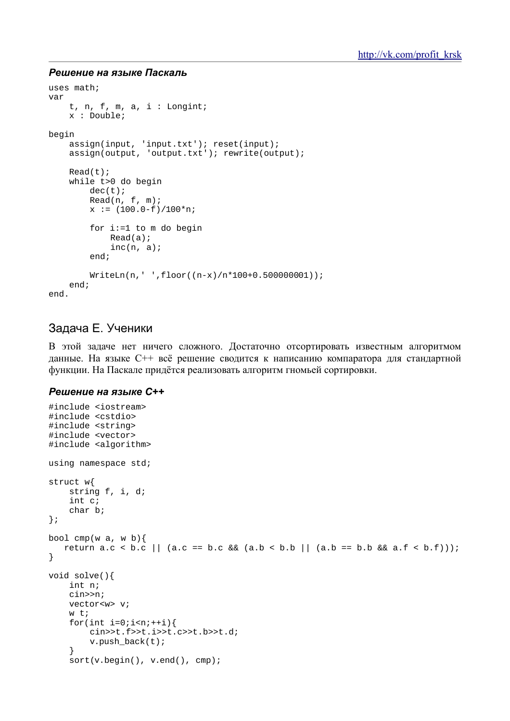```
uses math;
var
    t, n, f, m, a, i : Longint;
    x : Double;
begin
    assign(int, 'input.txt'); reset(input);<br>assign(output, 'output.txt'); rewrite(output);Read(t);while t>0 do begin
         dec(t);Read(n, f, m);x := (100.0 - f)/100*n;for i:=1 to m do begin
              Read(a);inc(n, a);
         end;
         WriteLn(n, ' ' , floor((n-x)/n*100+0.500000001));end;
end.
```
## Задача Е. Ученики

В этой задаче нет ничего сложного. Достаточно отсортировать известным алгоритмом данные. На языке C++ всё решение сводится к написанию компаратора для стандартной функции. На Паскале придётся реализовать алгоритм гномьей сортировки.

```
#include <iostream>
#include <cstdio>
#include <string>
#include <vector>
#include <algorithm>
using namespace std;
struct w{
    string f, i, d;
    int c;
    char bi
\} ;
bool cmp(w a, w b) {
   return a.c < b.c || (a.c == b.c && (a.b < b.b || (a.b == b.b && a.f < b.f)));
\}void solve(){
    int n;
    cinssn:
    vector<w> v;
    w + ifor(int i=0; i\le n; ++i) {
        cin>>t.f>>t.i>>t.c>>t.b>>t.d;
        v.push back(t);
    \}sort(v.\text{begin}(), v.\text{end}(), comp);
```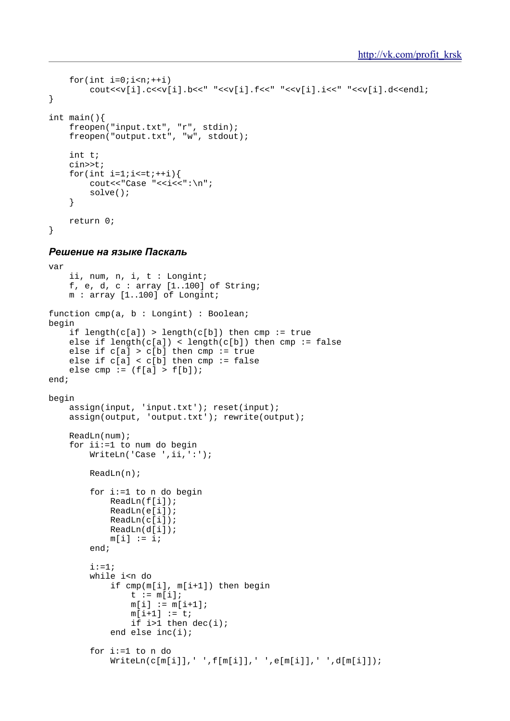```
for(int i=0; i\leq n; i+1)
           \text{cout} \ll \text{v[i].c} \ll \text{v[i].b} \ll \text{v[i].f} \ll \text{v[i].f} \ll \text{v[i].i} \ll \text{v[i].d} \ll \text{v[i].d}}
int main(){
      freopen("input.txt", "r", stdin);
      freopen("output.txt", "w", stdout);
      int t;
      cin>>t;
     for(int i=1; i \le i \le t; i+i) {
          cout<<"Case "<<i<<":\n";
            solve();
      }
      return 0;
}
```

```
var
     ii, num, n, i, t : Longint;
    f, e, d, c : array [1..100] of String;
     m : array [1..100] of Longint;
function cmp(a, b : Longint) : Boolean;
begin
    if length(c[a]) > length(c[b]) then cmp := true
    else if length(c[a]) < length(c[b]) then cmp := false
    else if c[a] > c[b] then cmp := true
     else if c[a] < c[b] then cmp := false
    else cmp := (f[a] > f[b]);
end;
begin
assign(input, 'input.txt'); reset(input);
 assign(output, 'output.txt'); rewrite(output);
     ReadLn(num);
     for ii:=1 to num do begin
        WriteLn('Case ',ii,':');
         ReadLn(n);
         for i:=1 to n do begin
             ReadLn(f[i]);
             ReadLn(e[i]);
             ReadLn(c[i]);
             ReadLn(d[i]);
            m[i] := i; end;
        i := 1; while i<n do
             if cmp(m[i], m[i+1]) then begin
                t := m[i];m[i] := m[i+1];m[i+1] := t;if i>1 then dec(i); end else inc(i);
         for i:=1 to n do
            WriteLn(c[m[i]], ' ', f[m[i]], ' ', e[m[i]], ' ', d[m[i]]);
```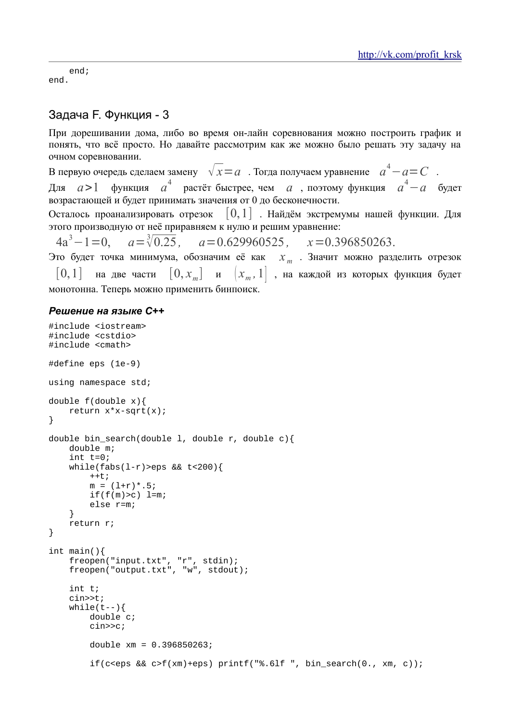end;  $end.$ 

## Задача Г. Функция - 3

При дорешивании дома, либо во время он-лайн соревнования можно построить график и понять, что всё просто. Но давайте рассмотрим как же можно было решать эту задачу на очном соревновании.

В первую очередь сделаем замену  $\sqrt{x} = a$ . Тогда получаем уравнение  $a^4 - a = C$ функция  $a^4$  растёт быстрее, чем  $a$ , поэтому функция  $a^4 - a$ Лля  $a>1$ будет возрастающей и будет принимать значения от 0 до бесконечности.

Осталось проанализировать отрезок  $[0,1]$ . Найдём экстремумы нашей функции. Для этого производную от неё приравняем к нулю и решим уравнение:

 $4a^3 - 1 = 0$   $a = \sqrt[3]{0.25}$  $a=0.629960525$ .  $x=0.396850263.$ 

Это будет точка минимума, обозначим её как  $x_m$ . Значит можно разделить отрезок  $|0, x_{m}|$  $|0,1|$ на две части  $|x_m, 1|$ , на каждой из которых функция будет  $\mathbf{M}$ монотонна. Теперь можно применить бинпоиск.

```
#include <iostream>
#include <cstdio>
#include <cmath>
#define eps (1e-9)
using namespace std;
double f(double x)return x*x-sqrt(x);
\}double bin_search(double 1, double r, double c){
    double m;
    int t=0;
    while(fabs(l-r)>eps &c t<200){
        ++t;
        m = (1+r) * .5;if(f(m)>c) \quad l=m;else r=m;
    J
    return r;
\}int main()freopen("input.txt", "r", stdin);<br>freopen("output.txt", "w", stdout);
    int t;
    cin>>t;
    while(t--) {
         double c;
        cin>>c;
        double xm = 0.396850263;if(c<eps && c>f(xm)+eps) printf("%.6lf ", bin_search(0., xm, c));
```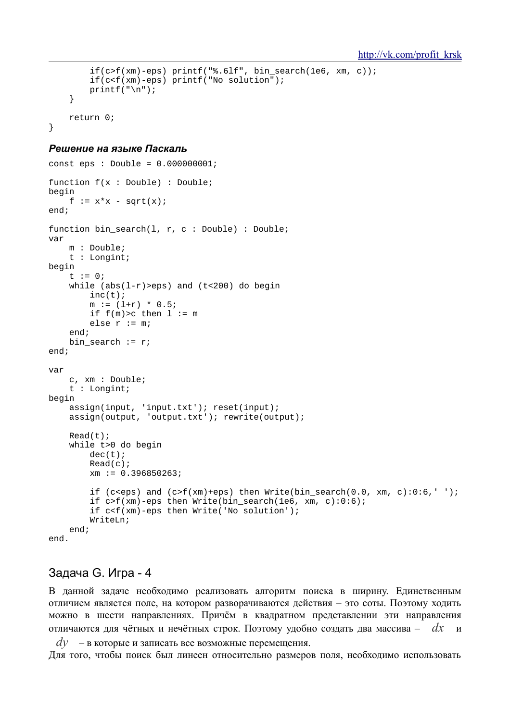```
if(c>f(xm)-eps) printf("*.61f", bin search(1e6, xm, c));if(c < f(xm) - eps) printf("No solution");
    printf("n");
\}return 0;
```
 $\}$ 

```
const eps : Double = 0.000000001function f(x : Double) : Doublebegin
   f := x * x - sqrt(x)end:function bin_search(1, r, c : Double) : Double;
var
   m: Double;t : Longint;begin
    t := 0;while (abs(1-r) >eps) and (t<200) do begin
       inc(t);m := (1+r) * 0.5;if f(m) > c then l := melse r := m;
    end;bin_search := riend;var
    c, xm : Double;
    t : Longint;begin
    assign(input, 'input.txt'); reset(input);
    assign(output, 'output.txt'); rewrite(output);
    Read(t);while t>0 do begin
       dec(t);Read(c);xm := 0.396850263;if (c<eps) and (c>f(xm)+eps) then Write(bin_search(0.0, xm, c):0:6,'');
        if c > f(xm)-eps then Write(bin_search(1e6, xm, c):0:6);
        if c<f(xm)-eps then Write('No solution');
        WriteLn;
    end:end.
```
## Задача G. Игра - 4

В данной задаче необходимо реализовать алгоритм поиска в ширину. Единственным отличием является поле, на котором разворачиваются действия - это соты. Поэтому ходить можно в шести направлениях. Причём в квадратном представлении эти направления отличаются для чётных и нечётных строк. Поэтому удобно создать два массива –  $dx$  и

 $dv$  – в которые и записать все возможные перемещения. Для того, чтобы поиск был линеен относительно размеров поля, необходимо использовать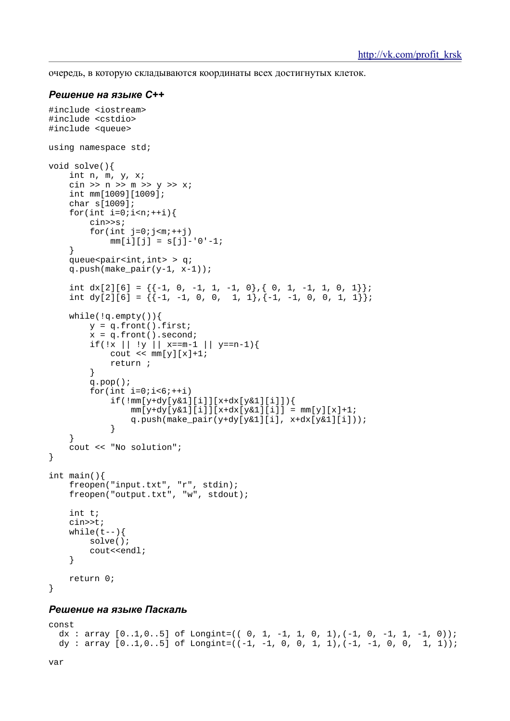очередь, в которую складываются координаты всех достигнутых клеток.

#### *Решение на языке С++*

```
#include <iostream>
#include <cstdio>
#include <queue>
using namespace std;
void solve(){
     int n, m, y, x;
    \sin \gg n \gg m \gg y \gg x; int mm[1009][1009];
     char s[1009];
    for(int i=0;i=n+1){
         cin>>s;
        for(int j=0;j=m;j+1)
            mm[i][j] = s[j] - '0' - 1; }
    queue<pair<int,int> > q;
    q.push(make\_pair(y-1, x-1));int dx[2][6] = \{(-1, 0, -1, 1, -1, 0), (0, 1, -1, 1, 0, 1]\};int dy[2][6] = \{(-1, -1, 0, 0, 1, 1\}, \{-1, -1, 0, 0, 1, 1\}\};
    while(:q.empty()){
        y = q.front().first;
        x = q. front(). second;
        if(!x || !y || x==m-1 || y==n-1){
            cout \lt\lt \text{mm}[y][x]+1; return ;
         }
         q.pop();
        for(int i=0;i<6;+i)
             if(!mm[y+dy[y&1][i]][x+dx[y&1][i]]){
                mm[y+dy[y&1][i]][x+dx[y&1][i]] = mm[y][x]+1;q.push(make_pair(y+dy[y&1][i], x+dx[y&1][i]));<br>}
 }
 }
     cout << "No solution";
}
int main(){
 freopen("input.txt", "r", stdin);
 freopen("output.txt", "w", stdout);
     int t;
     cin>>t;
    while(t--) {
         solve();
         cout<<endl;
     }
     return 0;
}
```

```
const
dx : array [0..1,0..5] of Longint=((0, 1, -1, 1, 0, 1), (-1, 0, -1, 1, -1, 0));
dy : array [0..1,0..5] of Longint=((-1, -1, 0, 0, 1, 1), (-1, -1, 0, 0, 1, 1));
```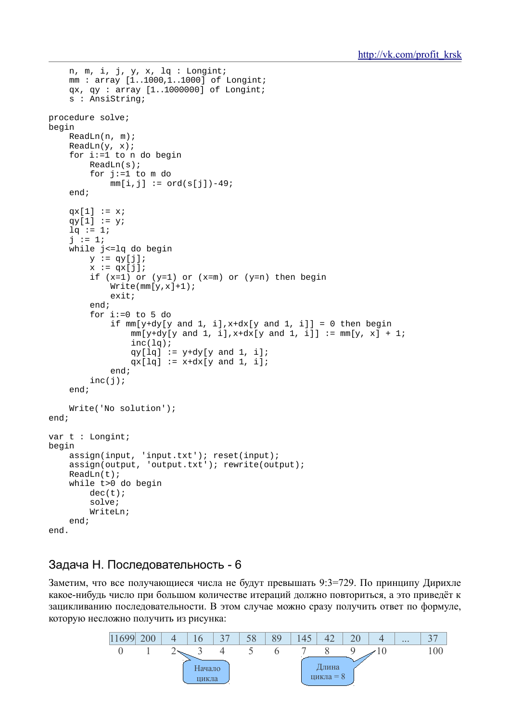```
n, m, i, j, y, x, lq : Longint;
    mm: array [1..1000,1..1000] of Longint;
    qx, qy: array [1..1000000] of Longint;
    s : AnsiString;
procedure solve;
begin
    ReadLn(n, m);ReadLn(y, x);for i:=1 to n do begin
        ReadLn(s);for i:=1 to m do
            mm[i,j] := ord(s[j]) - 49;endqx[1] := x;qy[1] := y;
    1q := 1;j := 1;while j <= lq do begin
        y := qy[j];x := qx[j];if (x=1) or (y=1) or (x=m) or (y=n) then begin
            Write(mm[y,x]+1);exist;end;
        for i := 0 to 5 do
            if mm[y+dy[y] and 1, i],x+dx[y] and 1, i]] = 0 then begin
                mm[y+dy[y] and 1, i], x+dx[y] and 1, i]] := mm[y, x] + 1;
                 inc(lq);qy[1q] := y+dy[y and 1, i];qx[1q] := x+dx[y and 1, i];end:inc(j);end;Write('No solution');
end;
var t : Longint;
begin
    assign(input, 'input.txt'); reset(input);
    \frac{1}{2} assign(output, 'output.txt'); rewrite(output);
    ReadLn(t);while t>0 do begin
        dec(t);solve;
        WriteLn;
    end;
end.
```
## Задача Н. Последовательность - 6

Заметим, что все получающиеся числа не будут превышать 9:3=729. По принципу Дирихле какое-нибудь число при большом количестве итераций должно повториться, а это приведёт к зацикливанию последовательности. В этом случае можно сразу получить ответ по формуле, которую несложно получить из рисунка:

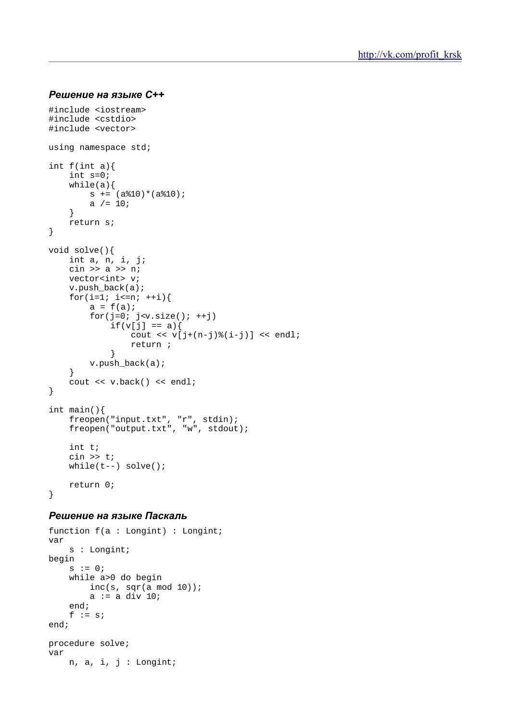### *Решение на языке С++*

```
#include <iostream>
#include <cstdio>
#include <vector>
using namespace std;
int f(int a){
     int s=0;
    while(a){
        s += (a\10)*(a\10);
        a / = 10;
     }
     return s;
}
void solve(){
    int a, n, i, j;
     cin >> a >> n;
     vector<int> v;
    v.push back(a);
    for(i=1; i <= n; + + i) {
        a = f(a);for(j=0; j< v.size(); ++j)if(v[j] == a)cout << v[j+(n-j) %(i-j)] << endl;
            return ;
 }
         v.push_back(a);
     }
     cout << v.back() << endl;
}
int main(){
     freopen("input.txt", "r", stdin);
     freopen("output.txt", "w", stdout);
     int t;
     cin >> t;
    while(t--) solve();
     return 0;
}
```

```
function f(a : Longint) : Longint;
var
     s : Longint;
begin
    s := 0; while a>0 do begin
        inc(s, sqr(a mod 10));
        a := a div 10i end;
    f := s;
end;
procedure solve;
var
     n, a, i, j : Longint;
```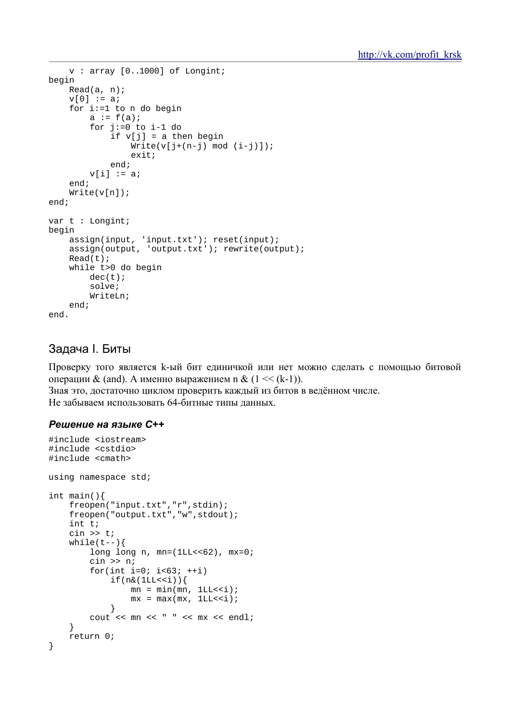```
v : array [0..1000] of Longint;
begin
     Read(a, n);v[0] := a;
      for i:=1 to n do begin
            a := f(a)for j := 0 to i-1 do
                  if v[j] = a then begin
                        Write(v[j+(n-j) mod (i-j)]);exit;
                  end;v[i] := aiend;Write(v[n]);
end;var t : Longint;
begin
     \begin{tabular}{ll} \texttt{assign}(\texttt{input}, \texttt{input.txt}'); \texttt{reset}(\texttt{input}); \\ \texttt{assign}(\texttt{output}, \texttt{output.txt}'); \texttt{rewrite}(\texttt{output}); \end{tabular}Read(t);while t>0 do begin
            dec(t);
            solve;
            WriteLn;
      end;
end.
```
## Задача I. Биты

Проверку того является к-ый бит единичкой или нет можно сделать с помощью битовой операции & (and). А именно выражением n &  $(1 \ll (k-1))$ .

Зная это, достаточно циклом проверить каждый из битов в ведённом числе. Не забываем использовать 64-битные типы данных.

```
#include <iostream>
#include <cstdio>
#include <cmath>
using namespace std;
int main()freopen("input.txt","r",stdin);
    freopen("output.txt","w",stdout);
    int t;
    \sin >> t;
    while(t--) {
         long long n, mn=(1LL<<62), mx=0;
         cin >> n;
         for(int i=0; i<63; +i)
              if(n&(1LL<<i))mn = min(mn, 1LL<<i);mx = max(mx, 1LL<<i);\mathcal{E}\text{cut} \ll \text{mn} \ll " \ll \text{mx} \ll \text{endl};
    \mathcal{E}return 0;
\}
```